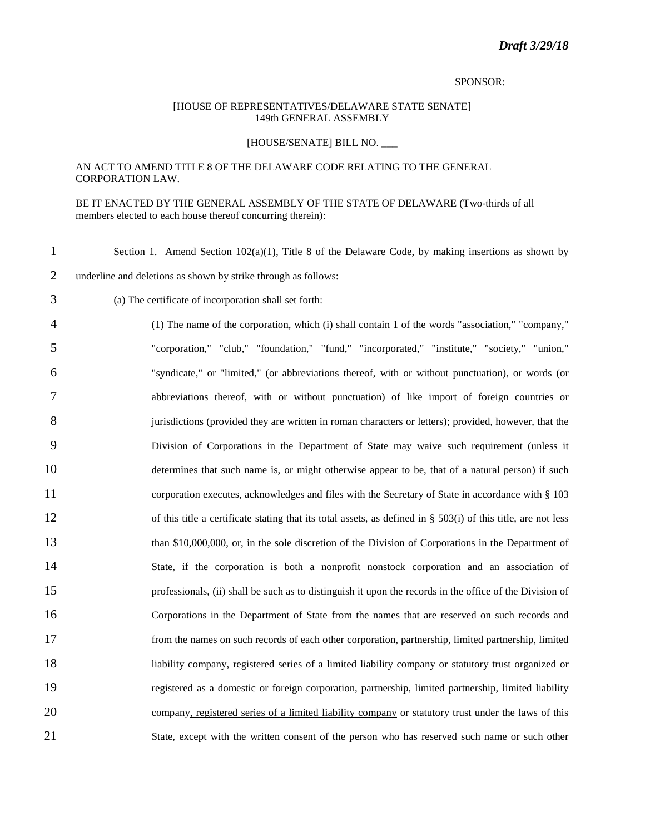#### SPONSOR:

#### [HOUSE OF REPRESENTATIVES/DELAWARE STATE SENATE] 149th GENERAL ASSEMBLY

## [HOUSE/SENATE] BILL NO. \_\_\_

# AN ACT TO AMEND TITLE 8 OF THE DELAWARE CODE RELATING TO THE GENERAL CORPORATION LAW.

## BE IT ENACTED BY THE GENERAL ASSEMBLY OF THE STATE OF DELAWARE (Two-thirds of all members elected to each house thereof concurring therein):

| $\mathbf{1}$   | Section 1. Amend Section $102(a)(1)$ , Title 8 of the Delaware Code, by making insertions as shown by            |
|----------------|------------------------------------------------------------------------------------------------------------------|
| $\overline{2}$ | underline and deletions as shown by strike through as follows:                                                   |
| 3              | (a) The certificate of incorporation shall set forth:                                                            |
| $\overline{4}$ | (1) The name of the corporation, which (i) shall contain 1 of the words "association," "company,"                |
| 5              | "corporation," "club," "foundation," "fund," "incorporated," "institute," "society," "union,"                    |
| 6              | "syndicate," or "limited," (or abbreviations thereof, with or without punctuation), or words (or                 |
| 7              | abbreviations thereof, with or without punctuation) of like import of foreign countries or                       |
| 8              | jurisdictions (provided they are written in roman characters or letters); provided, however, that the            |
| 9              | Division of Corporations in the Department of State may waive such requirement (unless it                        |
| 10             | determines that such name is, or might otherwise appear to be, that of a natural person) if such                 |
| 11             | corporation executes, acknowledges and files with the Secretary of State in accordance with § 103                |
| 12             | of this title a certificate stating that its total assets, as defined in $\S$ 503(i) of this title, are not less |
| 13             | than \$10,000,000, or, in the sole discretion of the Division of Corporations in the Department of               |
| 14             | State, if the corporation is both a nonprofit nonstock corporation and an association of                         |
| 15             | professionals, (ii) shall be such as to distinguish it upon the records in the office of the Division of         |
| 16             | Corporations in the Department of State from the names that are reserved on such records and                     |
| 17             | from the names on such records of each other corporation, partnership, limited partnership, limited              |
| 18             | liability company, registered series of a limited liability company or statutory trust organized or              |
| 19             | registered as a domestic or foreign corporation, partnership, limited partnership, limited liability             |
| 20             | company, registered series of a limited liability company or statutory trust under the laws of this              |
| 21             | State, except with the written consent of the person who has reserved such name or such other                    |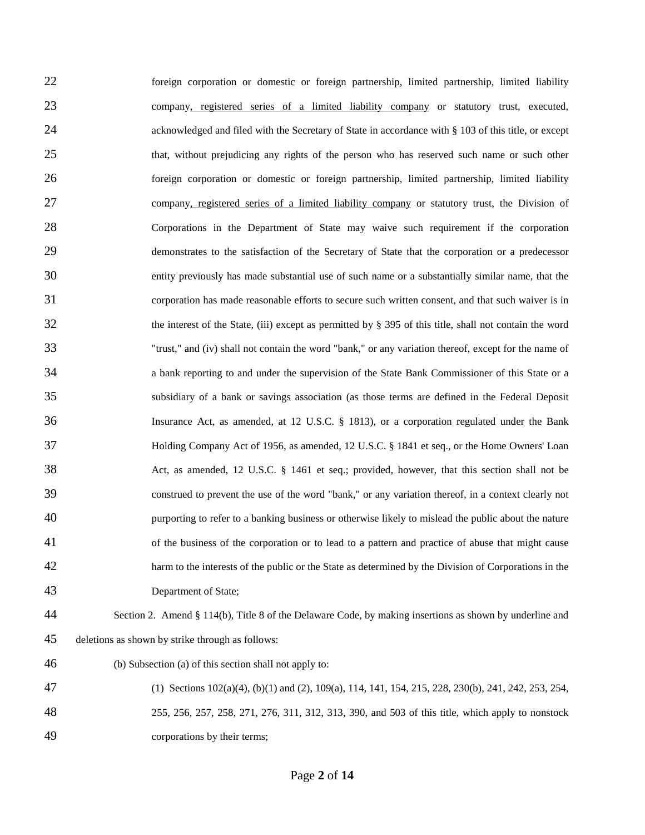foreign corporation or domestic or foreign partnership, limited partnership, limited liability company, registered series of a limited liability company or statutory trust, executed, 24 acknowledged and filed with the Secretary of State in accordance with § 103 of this title, or except 25 that, without prejudicing any rights of the person who has reserved such name or such other foreign corporation or domestic or foreign partnership, limited partnership, limited liability 27 company, registered series of a limited liability company or statutory trust, the Division of Corporations in the Department of State may waive such requirement if the corporation demonstrates to the satisfaction of the Secretary of State that the corporation or a predecessor entity previously has made substantial use of such name or a substantially similar name, that the corporation has made reasonable efforts to secure such written consent, and that such waiver is in the interest of the State, (iii) except as permitted by § 395 of this title, shall not contain the word "trust," and (iv) shall not contain the word "bank," or any variation thereof, except for the name of a bank reporting to and under the supervision of the State Bank Commissioner of this State or a subsidiary of a bank or savings association (as those terms are defined in the Federal Deposit Insurance Act, as amended, at 12 U.S.C. § 1813), or a corporation regulated under the Bank Holding Company Act of 1956, as amended, 12 U.S.C. § 1841 et seq., or the Home Owners' Loan Act, as amended, 12 U.S.C. § 1461 et seq.; provided, however, that this section shall not be construed to prevent the use of the word "bank," or any variation thereof, in a context clearly not purporting to refer to a banking business or otherwise likely to mislead the public about the nature of the business of the corporation or to lead to a pattern and practice of abuse that might cause harm to the interests of the public or the State as determined by the Division of Corporations in the Department of State; Section 2. Amend § 114(b), Title 8 of the Delaware Code, by making insertions as shown by underline and deletions as shown by strike through as follows:

- (b) Subsection (a) of this section shall not apply to:
- (1) Sections 102(a)(4), (b)(1) and (2), 109(a), 114, 141, 154, 215, 228, 230(b), 241, 242, 253, 254, 255, 256, 257, 258, 271, 276, 311, 312, 313, 390, and 503 of this title, which apply to nonstock
- corporations by their terms;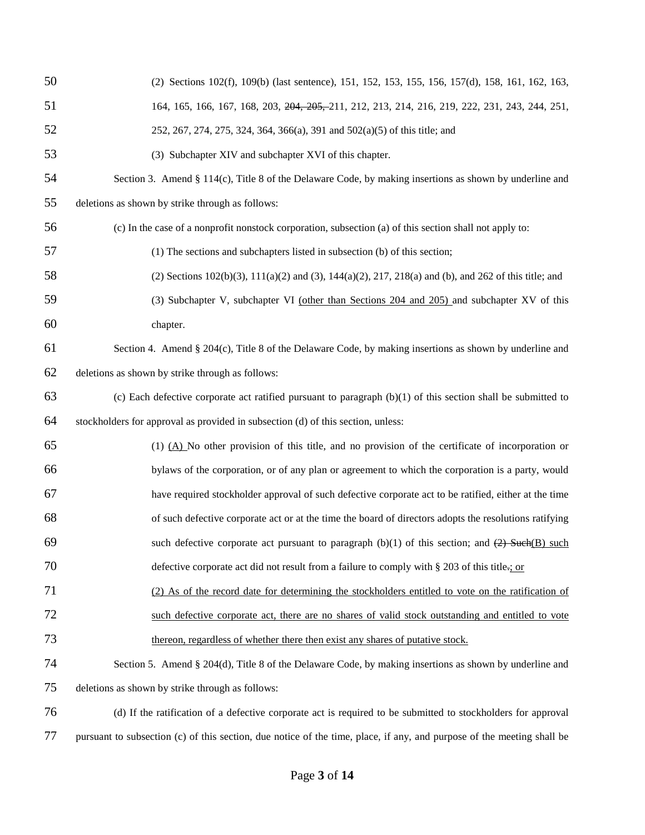| 50 | (2) Sections 102(f), 109(b) (last sentence), 151, 152, 153, 155, 156, 157(d), 158, 161, 162, 163,                      |
|----|------------------------------------------------------------------------------------------------------------------------|
| 51 | 164, 165, 166, 167, 168, 203, 204, 205, 211, 212, 213, 214, 216, 219, 222, 231, 243, 244, 251,                         |
| 52 | 252, 267, 274, 275, 324, 364, 366(a), 391 and 502(a)(5) of this title; and                                             |
| 53 | (3) Subchapter XIV and subchapter XVI of this chapter.                                                                 |
| 54 | Section 3. Amend § 114(c), Title 8 of the Delaware Code, by making insertions as shown by underline and                |
| 55 | deletions as shown by strike through as follows:                                                                       |
| 56 | (c) In the case of a nonprofit nonstock corporation, subsection (a) of this section shall not apply to:                |
| 57 | (1) The sections and subchapters listed in subsection (b) of this section;                                             |
| 58 | (2) Sections $102(b)(3)$ , $111(a)(2)$ and (3), $144(a)(2)$ , $217$ , $218(a)$ and (b), and $262$ of this title; and   |
| 59 | (3) Subchapter V, subchapter VI (other than Sections 204 and 205) and subchapter XV of this                            |
| 60 | chapter.                                                                                                               |
| 61 | Section 4. Amend § 204(c), Title 8 of the Delaware Code, by making insertions as shown by underline and                |
| 62 | deletions as shown by strike through as follows:                                                                       |
| 63 | (c) Each defective corporate act ratified pursuant to paragraph $(b)(1)$ of this section shall be submitted to         |
| 64 | stockholders for approval as provided in subsection (d) of this section, unless:                                       |
| 65 | $(1)$ $(A)$ No other provision of this title, and no provision of the certificate of incorporation or                  |
| 66 | bylaws of the corporation, or of any plan or agreement to which the corporation is a party, would                      |
| 67 | have required stockholder approval of such defective corporate act to be ratified, either at the time                  |
| 68 | of such defective corporate act or at the time the board of directors adopts the resolutions ratifying                 |
| 69 | such defective corporate act pursuant to paragraph (b)(1) of this section; and $(2)$ Such(B) such                      |
| 70 | defective corporate act did not result from a failure to comply with § 203 of this title-: or                          |
| 71 | (2) As of the record date for determining the stockholders entitled to vote on the ratification of                     |
| 72 | such defective corporate act, there are no shares of valid stock outstanding and entitled to vote                      |
| 73 | thereon, regardless of whether there then exist any shares of putative stock.                                          |
| 74 | Section 5. Amend § 204(d), Title 8 of the Delaware Code, by making insertions as shown by underline and                |
| 75 | deletions as shown by strike through as follows:                                                                       |
| 76 | (d) If the ratification of a defective corporate act is required to be submitted to stockholders for approval          |
| 77 | pursuant to subsection (c) of this section, due notice of the time, place, if any, and purpose of the meeting shall be |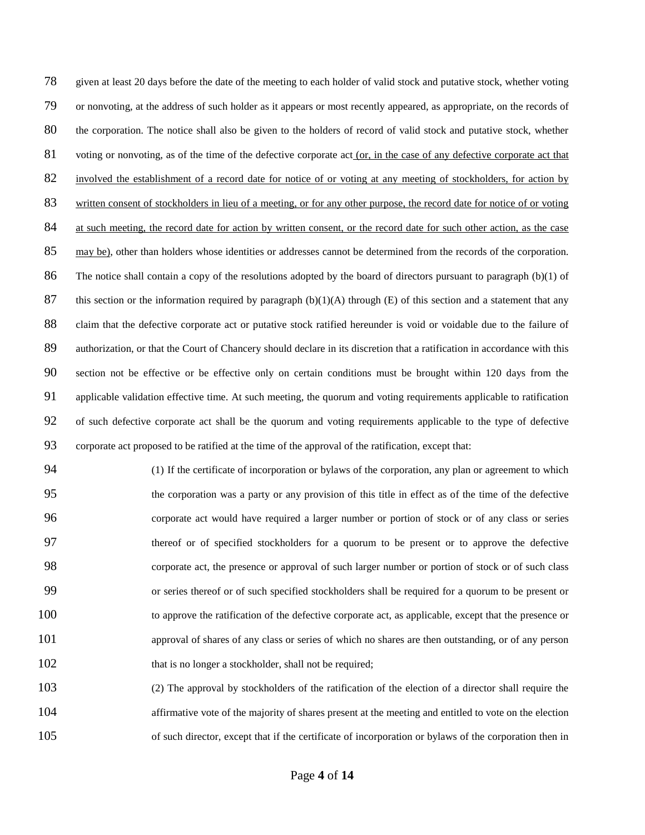given at least 20 days before the date of the meeting to each holder of valid stock and putative stock, whether voting or nonvoting, at the address of such holder as it appears or most recently appeared, as appropriate, on the records of the corporation. The notice shall also be given to the holders of record of valid stock and putative stock, whether 81 voting or nonvoting, as of the time of the defective corporate act (or, in the case of any defective corporate act that involved the establishment of a record date for notice of or voting at any meeting of stockholders, for action by written consent of stockholders in lieu of a meeting, or for any other purpose, the record date for notice of or voting 84 at such meeting, the record date for action by written consent, or the record date for such other action, as the case may be), other than holders whose identities or addresses cannot be determined from the records of the corporation. The notice shall contain a copy of the resolutions adopted by the board of directors pursuant to paragraph (b)(1) of 87 this section or the information required by paragraph  $(b)(1)(A)$  through (E) of this section and a statement that any claim that the defective corporate act or putative stock ratified hereunder is void or voidable due to the failure of 89 authorization, or that the Court of Chancery should declare in its discretion that a ratification in accordance with this section not be effective or be effective only on certain conditions must be brought within 120 days from the applicable validation effective time. At such meeting, the quorum and voting requirements applicable to ratification of such defective corporate act shall be the quorum and voting requirements applicable to the type of defective corporate act proposed to be ratified at the time of the approval of the ratification, except that:

 (1) If the certificate of incorporation or bylaws of the corporation, any plan or agreement to which the corporation was a party or any provision of this title in effect as of the time of the defective corporate act would have required a larger number or portion of stock or of any class or series thereof or of specified stockholders for a quorum to be present or to approve the defective corporate act, the presence or approval of such larger number or portion of stock or of such class or series thereof or of such specified stockholders shall be required for a quorum to be present or to approve the ratification of the defective corporate act, as applicable, except that the presence or approval of shares of any class or series of which no shares are then outstanding, or of any person 102 that is no longer a stockholder, shall not be required;

 (2) The approval by stockholders of the ratification of the election of a director shall require the 104 affirmative vote of the majority of shares present at the meeting and entitled to vote on the election of such director, except that if the certificate of incorporation or bylaws of the corporation then in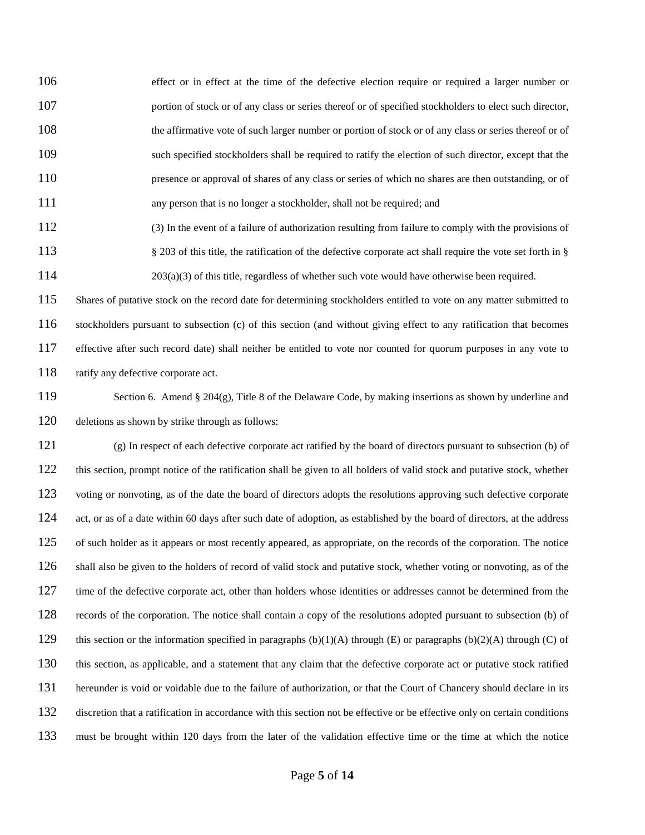effect or in effect at the time of the defective election require or required a larger number or **portion of stock or of any class or series thereof or of specified stockholders to elect such director,** 108 the affirmative vote of such larger number or portion of stock or of any class or series thereof or of 109 such specified stockholders shall be required to ratify the election of such director, except that the presence or approval of shares of any class or series of which no shares are then outstanding, or of any person that is no longer a stockholder, shall not be required; and

 (3) In the event of a failure of authorization resulting from failure to comply with the provisions of § 203 of this title, the ratification of the defective corporate act shall require the vote set forth in § 203(a)(3) of this title, regardless of whether such vote would have otherwise been required.

115 Shares of putative stock on the record date for determining stockholders entitled to vote on any matter submitted to stockholders pursuant to subsection (c) of this section (and without giving effect to any ratification that becomes effective after such record date) shall neither be entitled to vote nor counted for quorum purposes in any vote to 118 ratify any defective corporate act.

 Section 6. Amend § 204(g), Title 8 of the Delaware Code, by making insertions as shown by underline and deletions as shown by strike through as follows:

 (g) In respect of each defective corporate act ratified by the board of directors pursuant to subsection (b) of this section, prompt notice of the ratification shall be given to all holders of valid stock and putative stock, whether 123 voting or nonvoting, as of the date the board of directors adopts the resolutions approving such defective corporate 124 act, or as of a date within 60 days after such date of adoption, as established by the board of directors, at the address of such holder as it appears or most recently appeared, as appropriate, on the records of the corporation. The notice 126 shall also be given to the holders of record of valid stock and putative stock, whether voting or nonvoting, as of the 127 time of the defective corporate act, other than holders whose identities or addresses cannot be determined from the records of the corporation. The notice shall contain a copy of the resolutions adopted pursuant to subsection (b) of 129 this section or the information specified in paragraphs  $(b)(1)(A)$  through  $(E)$  or paragraphs  $(b)(2)(A)$  through  $(C)$  of this section, as applicable, and a statement that any claim that the defective corporate act or putative stock ratified hereunder is void or voidable due to the failure of authorization, or that the Court of Chancery should declare in its discretion that a ratification in accordance with this section not be effective or be effective only on certain conditions must be brought within 120 days from the later of the validation effective time or the time at which the notice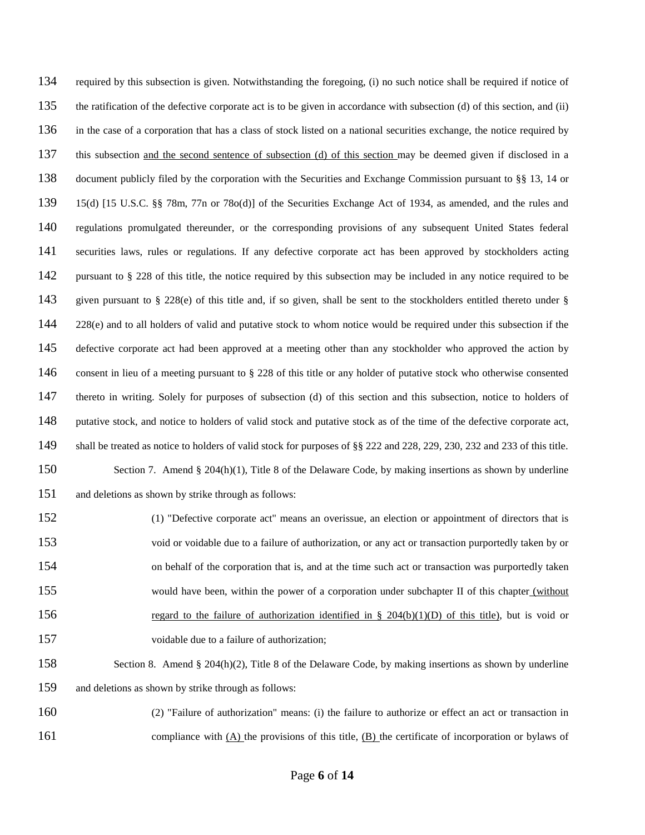required by this subsection is given. Notwithstanding the foregoing, (i) no such notice shall be required if notice of the ratification of the defective corporate act is to be given in accordance with subsection (d) of this section, and (ii) in the case of a corporation that has a class of stock listed on a national securities exchange, the notice required by this subsection and the second sentence of subsection (d) of this section may be deemed given if disclosed in a document publicly filed by the corporation with the Securities and Exchange Commission pursuant to §§ 13, 14 or 15(d) [15 U.S.C. §§ 78m, 77n or 78o(d)] of the Securities Exchange Act of 1934, as amended, and the rules and regulations promulgated thereunder, or the corresponding provisions of any subsequent United States federal securities laws, rules or regulations. If any defective corporate act has been approved by stockholders acting pursuant to § 228 of this title, the notice required by this subsection may be included in any notice required to be 143 given pursuant to  $\S$  228(e) of this title and, if so given, shall be sent to the stockholders entitled thereto under  $\S$  228(e) and to all holders of valid and putative stock to whom notice would be required under this subsection if the 145 defective corporate act had been approved at a meeting other than any stockholder who approved the action by consent in lieu of a meeting pursuant to § 228 of this title or any holder of putative stock who otherwise consented thereto in writing. Solely for purposes of subsection (d) of this section and this subsection, notice to holders of putative stock, and notice to holders of valid stock and putative stock as of the time of the defective corporate act, shall be treated as notice to holders of valid stock for purposes of §§ 222 and 228, 229, 230, 232 and 233 of this title. Section 7. Amend § 204(h)(1), Title 8 of the Delaware Code, by making insertions as shown by underline and deletions as shown by strike through as follows: (1) "Defective corporate act" means an overissue, an election or appointment of directors that is void or voidable due to a failure of authorization, or any act or transaction purportedly taken by or on behalf of the corporation that is, and at the time such act or transaction was purportedly taken 155 would have been, within the power of a corporation under subchapter II of this chapter (without 156 regard to the failure of authorization identified in § 204(b)(1)(D) of this title), but is void or

voidable due to a failure of authorization;

- Section 8. Amend § 204(h)(2), Title 8 of the Delaware Code, by making insertions as shown by underline and deletions as shown by strike through as follows:
- (2) "Failure of authorization" means: (i) the failure to authorize or effect an act or transaction in 161 compliance with  $(A)$  the provisions of this title,  $(B)$  the certificate of incorporation or bylaws of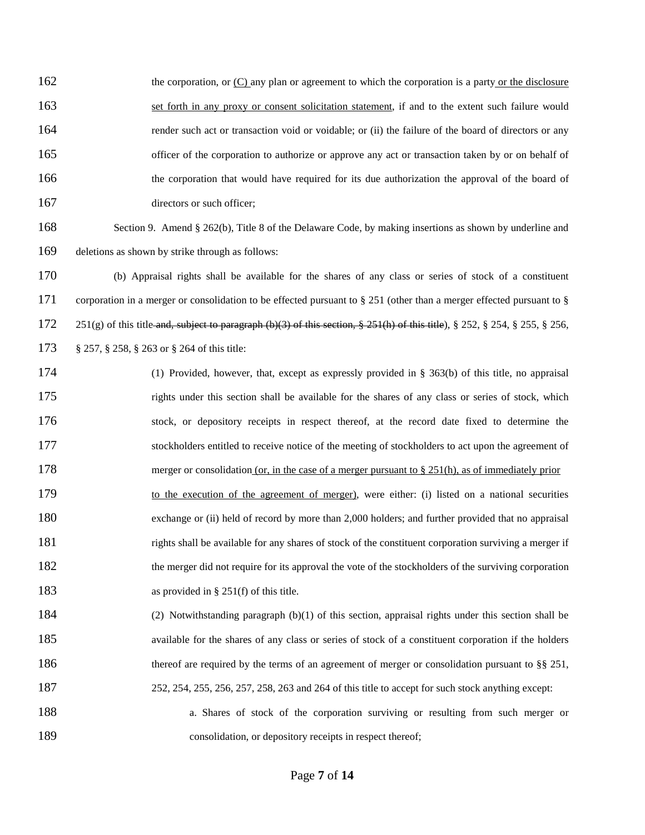162 the corporation, or  $(C)$  any plan or agreement to which the corporation is a party or the disclosure set forth in any proxy or consent solicitation statement, if and to the extent such failure would render such act or transaction void or voidable; or (ii) the failure of the board of directors or any 165 officer of the corporation to authorize or approve any act or transaction taken by or on behalf of the corporation that would have required for its due authorization the approval of the board of 167 directors or such officer;

 Section 9. Amend § 262(b), Title 8 of the Delaware Code, by making insertions as shown by underline and deletions as shown by strike through as follows:

 (b) Appraisal rights shall be available for the shares of any class or series of stock of a constituent corporation in a merger or consolidation to be effected pursuant to § 251 (other than a merger effected pursuant to § 251(g) of this title and, subject to paragraph (b)(3) of this section, § 251(h) of this title), § 252, § 254, § 255, § 256, § 257, § 258, § 263 or § 264 of this title:

- (1) Provided, however, that, except as expressly provided in § 363(b) of this title, no appraisal rights under this section shall be available for the shares of any class or series of stock, which stock, or depository receipts in respect thereof, at the record date fixed to determine the stockholders entitled to receive notice of the meeting of stockholders to act upon the agreement of 178 merger or consolidation (or, in the case of a merger pursuant to § 251(h), as of immediately prior to the execution of the agreement of merger), were either: (i) listed on a national securities exchange or (ii) held of record by more than 2,000 holders; and further provided that no appraisal rights shall be available for any shares of stock of the constituent corporation surviving a merger if 182 the merger did not require for its approval the vote of the stockholders of the surviving corporation 183 as provided in § 251(f) of this title. (2) Notwithstanding paragraph (b)(1) of this section, appraisal rights under this section shall be
- available for the shares of any class or series of stock of a constituent corporation if the holders 186 thereof are required by the terms of an agreement of merger or consolidation pursuant to §§ 251, 252, 254, 255, 256, 257, 258, 263 and 264 of this title to accept for such stock anything except:
- a. Shares of stock of the corporation surviving or resulting from such merger or 189 consolidation, or depository receipts in respect thereof;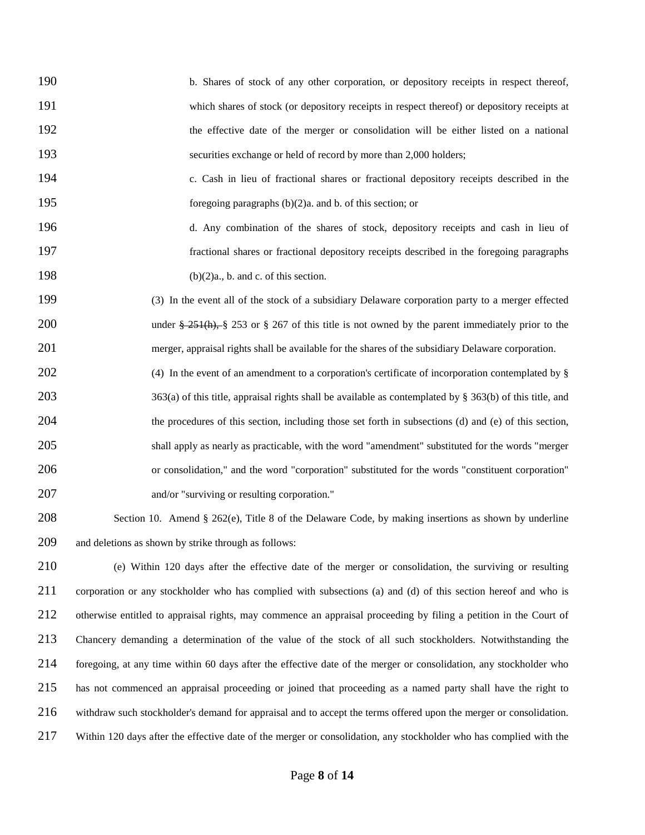b. Shares of stock of any other corporation, or depository receipts in respect thereof, which shares of stock (or depository receipts in respect thereof) or depository receipts at the effective date of the merger or consolidation will be either listed on a national securities exchange or held of record by more than 2,000 holders;

 c. Cash in lieu of fractional shares or fractional depository receipts described in the foregoing paragraphs (b)(2)a. and b. of this section; or

 d. Any combination of the shares of stock, depository receipts and cash in lieu of fractional shares or fractional depository receipts described in the foregoing paragraphs 198  $(b)(2)a$ , b. and c. of this section.

 (3) In the event all of the stock of a subsidiary Delaware corporation party to a merger effected 200 under  $\frac{251(h)}{8}$  253 or  $\frac{257}{6}$  267 of this title is not owned by the parent immediately prior to the merger, appraisal rights shall be available for the shares of the subsidiary Delaware corporation.

202 (4) In the event of an amendment to a corporation's certificate of incorporation contemplated by § 203 363(a) of this title, appraisal rights shall be available as contemplated by § 363(b) of this title, and the procedures of this section, including those set forth in subsections (d) and (e) of this section, shall apply as nearly as practicable, with the word "amendment" substituted for the words "merger or consolidation," and the word "corporation" substituted for the words "constituent corporation" and/or "surviving or resulting corporation."

 Section 10. Amend § 262(e), Title 8 of the Delaware Code, by making insertions as shown by underline and deletions as shown by strike through as follows:

 (e) Within 120 days after the effective date of the merger or consolidation, the surviving or resulting corporation or any stockholder who has complied with subsections (a) and (d) of this section hereof and who is otherwise entitled to appraisal rights, may commence an appraisal proceeding by filing a petition in the Court of Chancery demanding a determination of the value of the stock of all such stockholders. Notwithstanding the foregoing, at any time within 60 days after the effective date of the merger or consolidation, any stockholder who has not commenced an appraisal proceeding or joined that proceeding as a named party shall have the right to withdraw such stockholder's demand for appraisal and to accept the terms offered upon the merger or consolidation. Within 120 days after the effective date of the merger or consolidation, any stockholder who has complied with the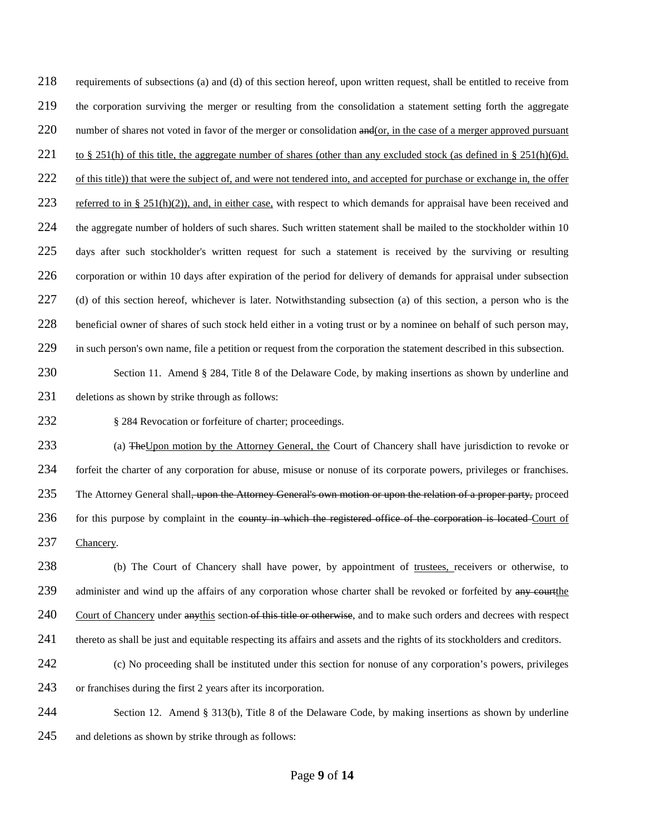218 requirements of subsections (a) and (d) of this section hereof, upon written request, shall be entitled to receive from 219 the corporation surviving the merger or resulting from the consolidation a statement setting forth the aggregate 220 number of shares not voted in favor of the merger or consolidation  $\frac{and}{or}$ , in the case of a merger approved pursuant 221 to § 251(h) of this title, the aggregate number of shares (other than any excluded stock (as defined in § 251(h)(6)d. 222 of this title)) that were the subject of, and were not tendered into, and accepted for purchase or exchange in, the offer 223 referred to in § 251(h)(2)), and, in either case, with respect to which demands for appraisal have been received and 224 the aggregate number of holders of such shares. Such written statement shall be mailed to the stockholder within 10 225 days after such stockholder's written request for such a statement is received by the surviving or resulting 226 corporation or within 10 days after expiration of the period for delivery of demands for appraisal under subsection 227 (d) of this section hereof, whichever is later. Notwithstanding subsection (a) of this section, a person who is the 228 beneficial owner of shares of such stock held either in a voting trust or by a nominee on behalf of such person may, 229 in such person's own name, file a petition or request from the corporation the statement described in this subsection.

230 Section 11. Amend § 284, Title 8 of the Delaware Code, by making insertions as shown by underline and 231 deletions as shown by strike through as follows:

232 § 284 Revocation or forfeiture of charter; proceedings.

233 (a) The Upon motion by the Attorney General, the Court of Chancery shall have jurisdiction to revoke or 234 forfeit the charter of any corporation for abuse, misuse or nonuse of its corporate powers, privileges or franchises. 235 The Attorney General shall<del>, upon the Attorney General's own motion or upon the relation of a proper party,</del> proceed 236 for this purpose by complaint in the county in which the registered office of the corporation is located Court of 237 Chancery.

238 (b) The Court of Chancery shall have power, by appointment of trustees, receivers or otherwise, to 239 administer and wind up the affairs of any corporation whose charter shall be revoked or forfeited by any courtthe 240 Court of Chancery under anythis section of this title or otherwise, and to make such orders and decrees with respect 241 thereto as shall be just and equitable respecting its affairs and assets and the rights of its stockholders and creditors.

- 242 (c) No proceeding shall be instituted under this section for nonuse of any corporation's powers, privileges 243 or franchises during the first 2 years after its incorporation.
- 244 Section 12. Amend § 313(b), Title 8 of the Delaware Code, by making insertions as shown by underline 245 and deletions as shown by strike through as follows: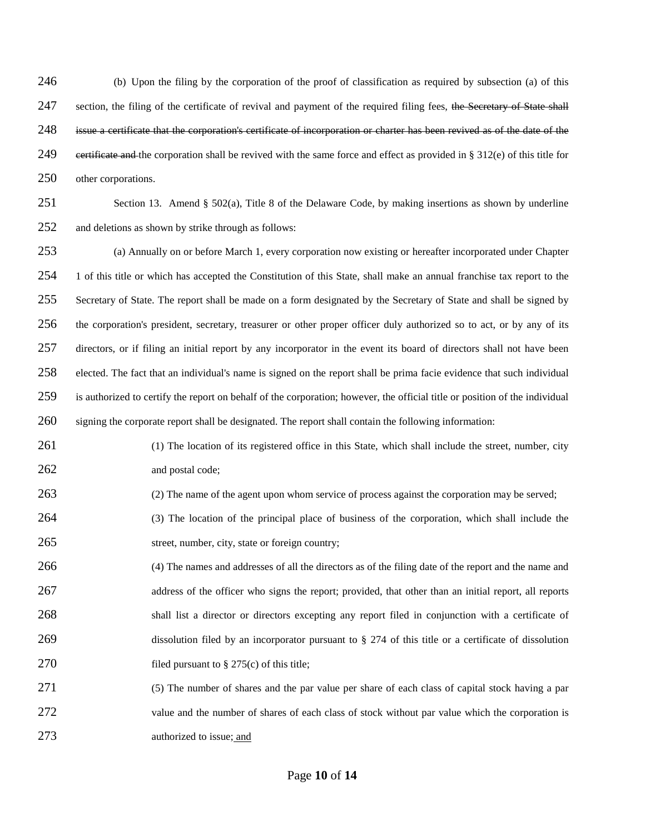(b) Upon the filing by the corporation of the proof of classification as required by subsection (a) of this 247 section, the filing of the certificate of revival and payment of the required filing fees, the Secretary of State shall issue a certificate that the corporation's certificate of incorporation or charter has been revived as of the date of the 249 eertificate and the corporation shall be revived with the same force and effect as provided in  $\S 312(e)$  of this title for other corporations.

 Section 13. Amend § 502(a), Title 8 of the Delaware Code, by making insertions as shown by underline and deletions as shown by strike through as follows:

 (a) Annually on or before March 1, every corporation now existing or hereafter incorporated under Chapter 1 of this title or which has accepted the Constitution of this State, shall make an annual franchise tax report to the 255 Secretary of State. The report shall be made on a form designated by the Secretary of State and shall be signed by the corporation's president, secretary, treasurer or other proper officer duly authorized so to act, or by any of its directors, or if filing an initial report by any incorporator in the event its board of directors shall not have been elected. The fact that an individual's name is signed on the report shall be prima facie evidence that such individual is authorized to certify the report on behalf of the corporation; however, the official title or position of the individual signing the corporate report shall be designated. The report shall contain the following information:

261 (1) The location of its registered office in this State, which shall include the street, number, city and postal code;

- (2) The name of the agent upon whom service of process against the corporation may be served;
- (3) The location of the principal place of business of the corporation, which shall include the street, number, city, state or foreign country;
- (4) The names and addresses of all the directors as of the filing date of the report and the name and 267 address of the officer who signs the report; provided, that other than an initial report, all reports shall list a director or directors excepting any report filed in conjunction with a certificate of 269 dissolution filed by an incorporator pursuant to § 274 of this title or a certificate of dissolution 270 filed pursuant to  $\S 275(c)$  of this title;
- (5) The number of shares and the par value per share of each class of capital stock having a par 272 value and the number of shares of each class of stock without par value which the corporation is authorized to issue; and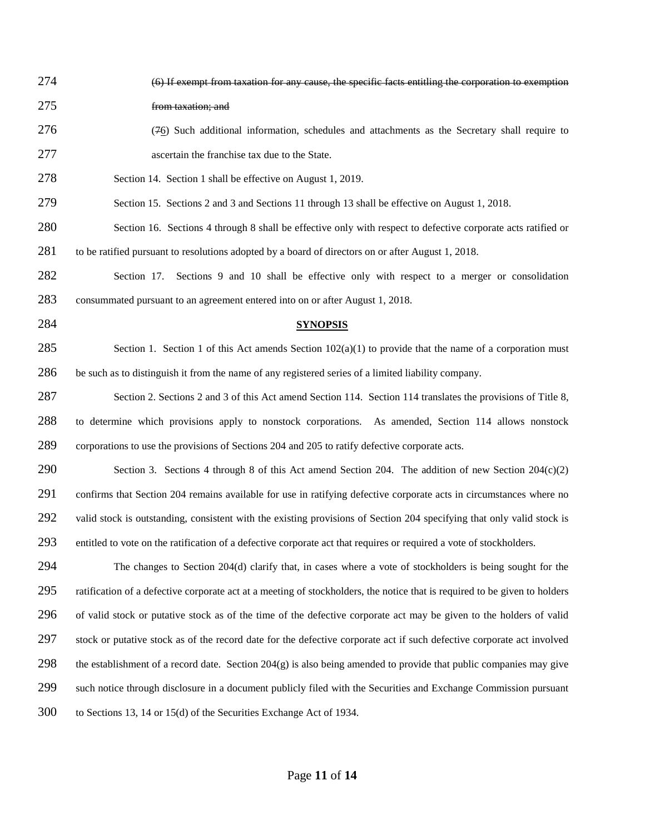| 274 | (6) If exempt from taxation for any cause, the specific facts entitling the corporation to exemption                       |
|-----|----------------------------------------------------------------------------------------------------------------------------|
| 275 | from taxation; and                                                                                                         |
| 276 | (76) Such additional information, schedules and attachments as the Secretary shall require to                              |
| 277 | ascertain the franchise tax due to the State.                                                                              |
| 278 | Section 14. Section 1 shall be effective on August 1, 2019.                                                                |
| 279 | Section 15. Sections 2 and 3 and Sections 11 through 13 shall be effective on August 1, 2018.                              |
| 280 | Section 16. Sections 4 through 8 shall be effective only with respect to defective corporate acts ratified or              |
| 281 | to be ratified pursuant to resolutions adopted by a board of directors on or after August 1, 2018.                         |
| 282 | Sections 9 and 10 shall be effective only with respect to a merger or consolidation<br>Section 17.                         |
| 283 | consummated pursuant to an agreement entered into on or after August 1, 2018.                                              |
| 284 | <b>SYNOPSIS</b>                                                                                                            |
| 285 | Section 1. Section 1 of this Act amends Section $102(a)(1)$ to provide that the name of a corporation must                 |
| 286 | be such as to distinguish it from the name of any registered series of a limited liability company.                        |
| 287 | Section 2. Sections 2 and 3 of this Act amend Section 114. Section 114 translates the provisions of Title 8,               |
| 288 | to determine which provisions apply to nonstock corporations. As amended, Section 114 allows nonstock                      |
| 289 | corporations to use the provisions of Sections 204 and 205 to ratify defective corporate acts.                             |
| 290 | Section 3. Sections 4 through 8 of this Act amend Section 204. The addition of new Section $204(c)(2)$                     |
| 291 | confirms that Section 204 remains available for use in ratifying defective corporate acts in circumstances where no        |
| 292 | valid stock is outstanding, consistent with the existing provisions of Section 204 specifying that only valid stock is     |
| 293 | entitled to vote on the ratification of a defective corporate act that requires or required a vote of stockholders.        |
| 294 | The changes to Section $204(d)$ clarify that, in cases where a vote of stockholders is being sought for the                |
| 295 | ratification of a defective corporate act at a meeting of stockholders, the notice that is required to be given to holders |
| 296 | of valid stock or putative stock as of the time of the defective corporate act may be given to the holders of valid        |
| 297 | stock or putative stock as of the record date for the defective corporate act if such defective corporate act involved     |
| 298 | the establishment of a record date. Section $204(g)$ is also being amended to provide that public companies may give       |
| 299 | such notice through disclosure in a document publicly filed with the Securities and Exchange Commission pursuant           |
| 300 | to Sections 13, 14 or 15(d) of the Securities Exchange Act of 1934.                                                        |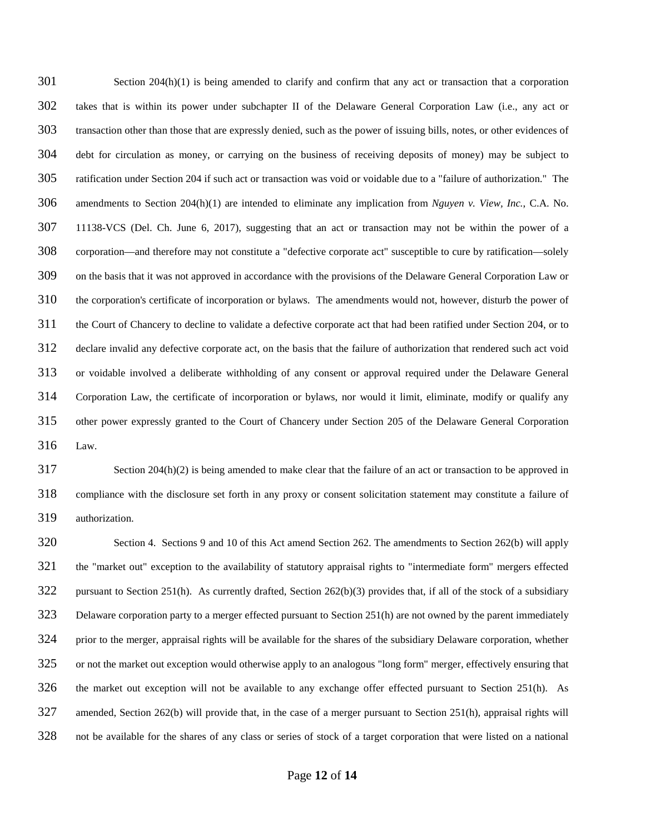Section 204(h)(1) is being amended to clarify and confirm that any act or transaction that a corporation takes that is within its power under subchapter II of the Delaware General Corporation Law (i.e., any act or transaction other than those that are expressly denied, such as the power of issuing bills, notes, or other evidences of debt for circulation as money, or carrying on the business of receiving deposits of money) may be subject to ratification under Section 204 if such act or transaction was void or voidable due to a "failure of authorization." The amendments to Section 204(h)(1) are intended to eliminate any implication from *Nguyen v. View, Inc.*, C.A. No. 11138-VCS (Del. Ch. June 6, 2017), suggesting that an act or transaction may not be within the power of a corporation—and therefore may not constitute a "defective corporate act" susceptible to cure by ratification—solely on the basis that it was not approved in accordance with the provisions of the Delaware General Corporation Law or the corporation's certificate of incorporation or bylaws. The amendments would not, however, disturb the power of the Court of Chancery to decline to validate a defective corporate act that had been ratified under Section 204, or to declare invalid any defective corporate act, on the basis that the failure of authorization that rendered such act void or voidable involved a deliberate withholding of any consent or approval required under the Delaware General Corporation Law, the certificate of incorporation or bylaws, nor would it limit, eliminate, modify or qualify any other power expressly granted to the Court of Chancery under Section 205 of the Delaware General Corporation Law.

 Section 204(h)(2) is being amended to make clear that the failure of an act or transaction to be approved in compliance with the disclosure set forth in any proxy or consent solicitation statement may constitute a failure of authorization.

 Section 4. Sections 9 and 10 of this Act amend Section 262. The amendments to Section 262(b) will apply the "market out" exception to the availability of statutory appraisal rights to "intermediate form" mergers effected pursuant to Section 251(h). As currently drafted, Section 262(b)(3) provides that, if all of the stock of a subsidiary Delaware corporation party to a merger effected pursuant to Section 251(h) are not owned by the parent immediately prior to the merger, appraisal rights will be available for the shares of the subsidiary Delaware corporation, whether or not the market out exception would otherwise apply to an analogous "long form" merger, effectively ensuring that the market out exception will not be available to any exchange offer effected pursuant to Section 251(h). As amended, Section 262(b) will provide that, in the case of a merger pursuant to Section 251(h), appraisal rights will not be available for the shares of any class or series of stock of a target corporation that were listed on a national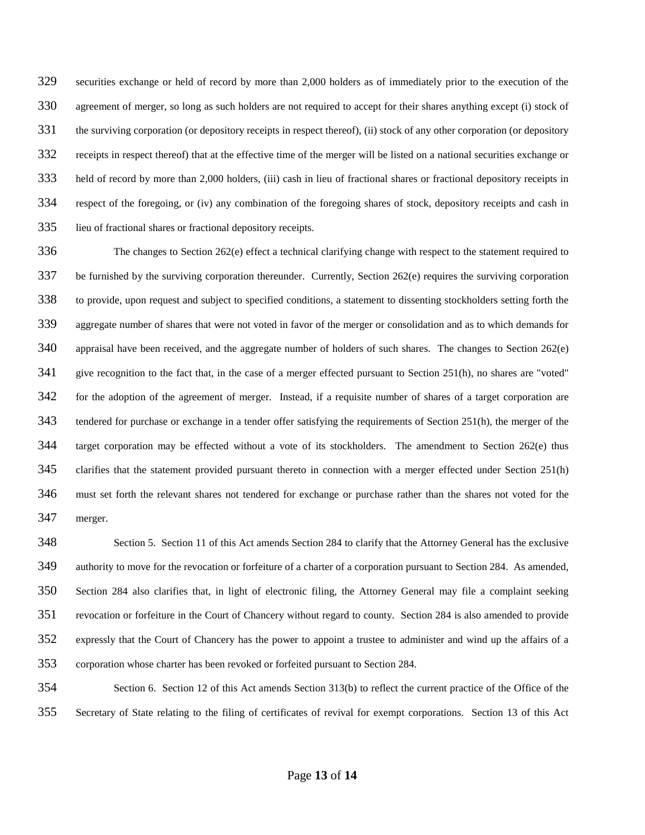securities exchange or held of record by more than 2,000 holders as of immediately prior to the execution of the agreement of merger, so long as such holders are not required to accept for their shares anything except (i) stock of the surviving corporation (or depository receipts in respect thereof), (ii) stock of any other corporation (or depository receipts in respect thereof) that at the effective time of the merger will be listed on a national securities exchange or held of record by more than 2,000 holders, (iii) cash in lieu of fractional shares or fractional depository receipts in respect of the foregoing, or (iv) any combination of the foregoing shares of stock, depository receipts and cash in lieu of fractional shares or fractional depository receipts.

 The changes to Section 262(e) effect a technical clarifying change with respect to the statement required to be furnished by the surviving corporation thereunder. Currently, Section 262(e) requires the surviving corporation to provide, upon request and subject to specified conditions, a statement to dissenting stockholders setting forth the aggregate number of shares that were not voted in favor of the merger or consolidation and as to which demands for appraisal have been received, and the aggregate number of holders of such shares. The changes to Section 262(e) give recognition to the fact that, in the case of a merger effected pursuant to Section 251(h), no shares are "voted" for the adoption of the agreement of merger. Instead, if a requisite number of shares of a target corporation are tendered for purchase or exchange in a tender offer satisfying the requirements of Section 251(h), the merger of the target corporation may be effected without a vote of its stockholders. The amendment to Section 262(e) thus clarifies that the statement provided pursuant thereto in connection with a merger effected under Section 251(h) must set forth the relevant shares not tendered for exchange or purchase rather than the shares not voted for the merger.

 Section 5. Section 11 of this Act amends Section 284 to clarify that the Attorney General has the exclusive authority to move for the revocation or forfeiture of a charter of a corporation pursuant to Section 284. As amended, Section 284 also clarifies that, in light of electronic filing, the Attorney General may file a complaint seeking revocation or forfeiture in the Court of Chancery without regard to county. Section 284 is also amended to provide expressly that the Court of Chancery has the power to appoint a trustee to administer and wind up the affairs of a corporation whose charter has been revoked or forfeited pursuant to Section 284.

 Section 6. Section 12 of this Act amends Section 313(b) to reflect the current practice of the Office of the Secretary of State relating to the filing of certificates of revival for exempt corporations. Section 13 of this Act